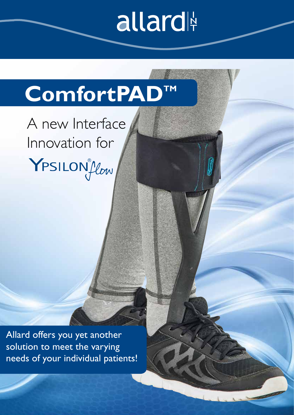# allard

### ComfortPAD<sup>™</sup>

A new Interface Innovation for YPSILONICON

Allard offers you yet another solution to meet the varying needs of your individual patients!